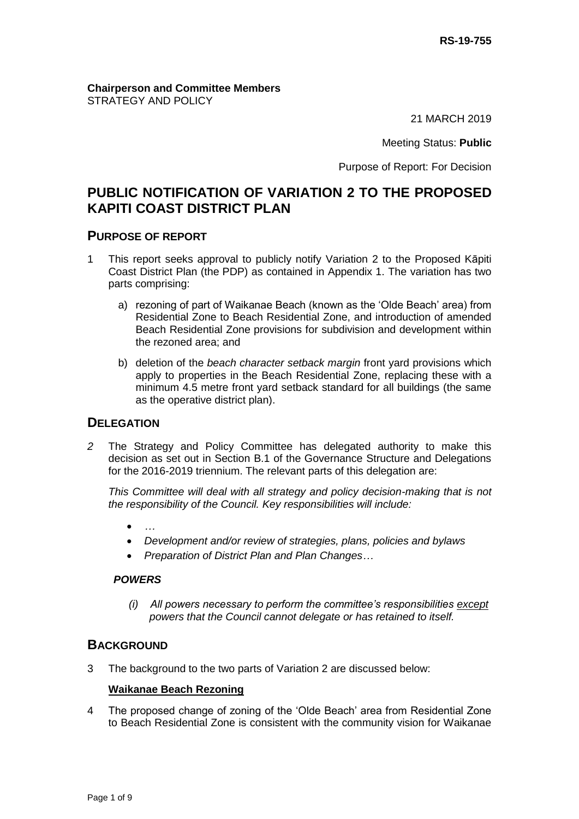**Chairperson and Committee Members** STRATEGY AND POLICY

21 MARCH 2019

Meeting Status: **Public**

Purpose of Report: For Decision

# **PUBLIC NOTIFICATION OF VARIATION 2 TO THE PROPOSED KAPITI COAST DISTRICT PLAN**

### **PURPOSE OF REPORT**

- 1 This report seeks approval to publicly notify Variation 2 to the Proposed Kāpiti Coast District Plan (the PDP) as contained in Appendix 1. The variation has two parts comprising:
	- a) rezoning of part of Waikanae Beach (known as the 'Olde Beach' area) from Residential Zone to Beach Residential Zone, and introduction of amended Beach Residential Zone provisions for subdivision and development within the rezoned area; and
	- b) deletion of the *beach character setback margin* front yard provisions which apply to properties in the Beach Residential Zone, replacing these with a minimum 4.5 metre front yard setback standard for all buildings (the same as the operative district plan).

# **DELEGATION**

*2* The Strategy and Policy Committee has delegated authority to make this decision as set out in Section B.1 of the Governance Structure and Delegations for the 2016-2019 triennium. The relevant parts of this delegation are:

*This Committee will deal with all strategy and policy decision-making that is not the responsibility of the Council. Key responsibilities will include:*

- *…*
- *Development and/or review of strategies, plans, policies and bylaws*
- *Preparation of District Plan and Plan Changes…*

### *POWERS*

*(i) All powers necessary to perform the committee's responsibilities except powers that the Council cannot delegate or has retained to itself.*

### **BACKGROUND**

3 The background to the two parts of Variation 2 are discussed below:

#### **Waikanae Beach Rezoning**

4 The proposed change of zoning of the 'Olde Beach' area from Residential Zone to Beach Residential Zone is consistent with the community vision for Waikanae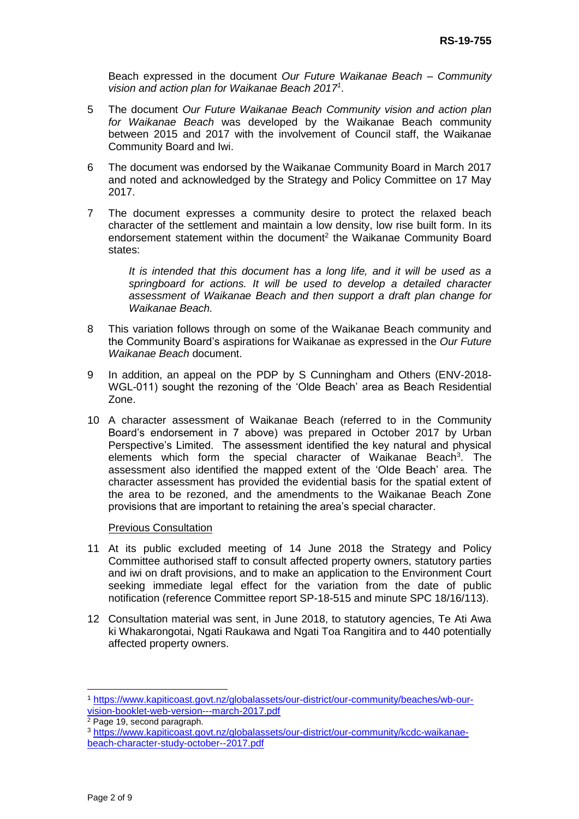Beach expressed in the document *Our Future Waikanae Beach – Community vision and action plan for Waikanae Beach 2017<sup>1</sup>* .

- 5 The document *Our Future Waikanae Beach Community vision and action plan for Waikanae Beach* was developed by the Waikanae Beach community between 2015 and 2017 with the involvement of Council staff, the Waikanae Community Board and Iwi.
- 6 The document was endorsed by the Waikanae Community Board in March 2017 and noted and acknowledged by the Strategy and Policy Committee on 17 May 2017.
- 7 The document expresses a community desire to protect the relaxed beach character of the settlement and maintain a low density, low rise built form. In its endorsement statement within the document<sup>2</sup> the Waikanae Community Board states:

It is intended that this document has a long life, and it will be used as a *springboard for actions. It will be used to develop a detailed character assessment of Waikanae Beach and then support a draft plan change for Waikanae Beach.*

- 8 This variation follows through on some of the Waikanae Beach community and the Community Board's aspirations for Waikanae as expressed in the *Our Future Waikanae Beach* document.
- 9 In addition, an appeal on the PDP by S Cunningham and Others (ENV-2018- WGL-011) sought the rezoning of the 'Olde Beach' area as Beach Residential Zone.
- 10 A character assessment of Waikanae Beach (referred to in the Community Board's endorsement in 7 above) was prepared in October 2017 by Urban Perspective's Limited. The assessment identified the key natural and physical elements which form the special character of Waikanae Beach<sup>3</sup>. The assessment also identified the mapped extent of the 'Olde Beach' area. The character assessment has provided the evidential basis for the spatial extent of the area to be rezoned, and the amendments to the Waikanae Beach Zone provisions that are important to retaining the area's special character.

#### Previous Consultation

- 11 At its public excluded meeting of 14 June 2018 the Strategy and Policy Committee authorised staff to consult affected property owners, statutory parties and iwi on draft provisions, and to make an application to the Environment Court seeking immediate legal effect for the variation from the date of public notification (reference Committee report SP-18-515 and minute SPC 18/16/113).
- 12 Consultation material was sent, in June 2018, to statutory agencies, Te Ati Awa ki Whakarongotai, Ngati Raukawa and Ngati Toa Rangitira and to 440 potentially affected property owners.

 $\overline{a}$ 

<sup>1</sup> [https://www.kapiticoast.govt.nz/globalassets/our-district/our-community/beaches/wb-our](https://www.kapiticoast.govt.nz/globalassets/our-district/our-community/beaches/wb-our-vision-booklet-web-version---march-2017.pdf)[vision-booklet-web-version---march-2017.pdf](https://www.kapiticoast.govt.nz/globalassets/our-district/our-community/beaches/wb-our-vision-booklet-web-version---march-2017.pdf)

<sup>2</sup> Page 19, second paragraph.

<sup>3</sup> [https://www.kapiticoast.govt.nz/globalassets/our-district/our-community/kcdc-waikanae](https://www.kapiticoast.govt.nz/globalassets/our-district/our-community/kcdc-waikanae-beach-character-study-october--2017.pdf)[beach-character-study-october--2017.pdf](https://www.kapiticoast.govt.nz/globalassets/our-district/our-community/kcdc-waikanae-beach-character-study-october--2017.pdf)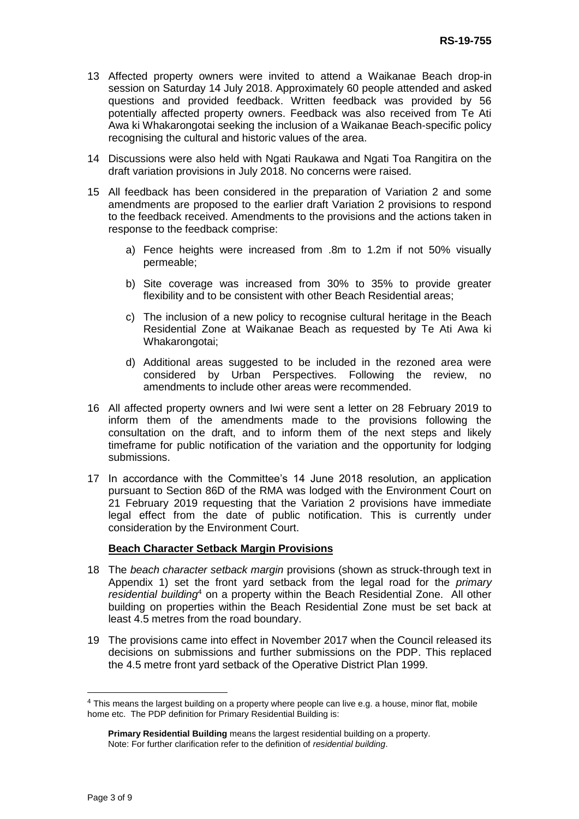- 13 Affected property owners were invited to attend a Waikanae Beach drop-in session on Saturday 14 July 2018. Approximately 60 people attended and asked questions and provided feedback. Written feedback was provided by 56 potentially affected property owners. Feedback was also received from Te Ati Awa ki Whakarongotai seeking the inclusion of a Waikanae Beach-specific policy recognising the cultural and historic values of the area.
- 14 Discussions were also held with Ngati Raukawa and Ngati Toa Rangitira on the draft variation provisions in July 2018. No concerns were raised.
- 15 All feedback has been considered in the preparation of Variation 2 and some amendments are proposed to the earlier draft Variation 2 provisions to respond to the feedback received. Amendments to the provisions and the actions taken in response to the feedback comprise:
	- a) Fence heights were increased from .8m to 1.2m if not 50% visually permeable;
	- b) Site coverage was increased from 30% to 35% to provide greater flexibility and to be consistent with other Beach Residential areas;
	- c) The inclusion of a new policy to recognise cultural heritage in the Beach Residential Zone at Waikanae Beach as requested by Te Ati Awa ki Whakarongotai;
	- d) Additional areas suggested to be included in the rezoned area were considered by Urban Perspectives. Following the review, no amendments to include other areas were recommended.
- 16 All affected property owners and Iwi were sent a letter on 28 February 2019 to inform them of the amendments made to the provisions following the consultation on the draft, and to inform them of the next steps and likely timeframe for public notification of the variation and the opportunity for lodging submissions.
- 17 In accordance with the Committee's 14 June 2018 resolution, an application pursuant to Section 86D of the RMA was lodged with the Environment Court on 21 February 2019 requesting that the Variation 2 provisions have immediate legal effect from the date of public notification. This is currently under consideration by the Environment Court.

#### **Beach Character Setback Margin Provisions**

- 18 The *beach character setback margin* provisions (shown as struck-through text in Appendix 1) set the front yard setback from the legal road for the *primary residential building*<sup>4</sup> on a property within the Beach Residential Zone. All other building on properties within the Beach Residential Zone must be set back at least 4.5 metres from the road boundary.
- 19 The provisions came into effect in November 2017 when the Council released its decisions on submissions and further submissions on the PDP. This replaced the 4.5 metre front yard setback of the Operative District Plan 1999.

 $\overline{a}$ 

<sup>&</sup>lt;sup>4</sup> This means the largest building on a property where people can live e.g. a house, minor flat, mobile home etc. The PDP definition for Primary Residential Building is:

**Primary Residential Building** means the largest residential building on a property. Note: For further clarification refer to the definition of *residential building*.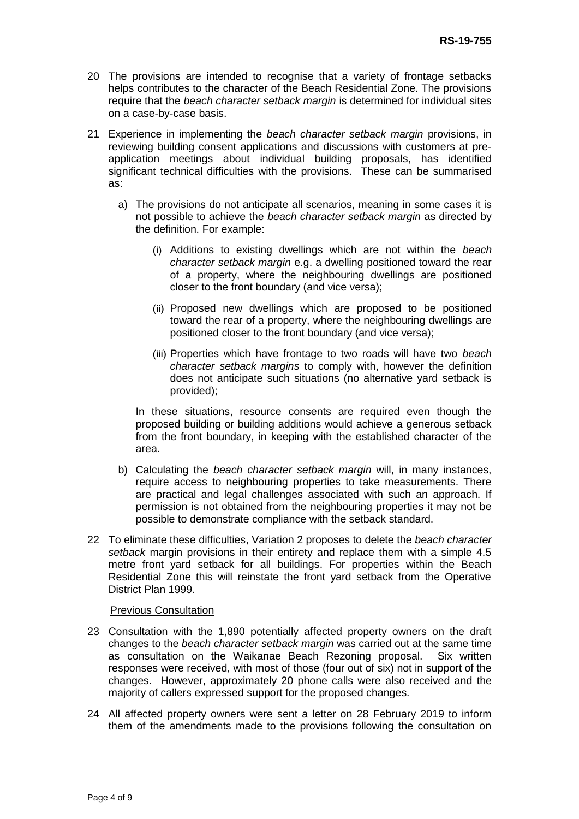- 20 The provisions are intended to recognise that a variety of frontage setbacks helps contributes to the character of the Beach Residential Zone. The provisions require that the *beach character setback margin* is determined for individual sites on a case-by-case basis.
- 21 Experience in implementing the *beach character setback margin* provisions, in reviewing building consent applications and discussions with customers at preapplication meetings about individual building proposals, has identified significant technical difficulties with the provisions. These can be summarised as:
	- a) The provisions do not anticipate all scenarios, meaning in some cases it is not possible to achieve the *beach character setback margin* as directed by the definition. For example:
		- (i) Additions to existing dwellings which are not within the *beach character setback margin* e.g. a dwelling positioned toward the rear of a property, where the neighbouring dwellings are positioned closer to the front boundary (and vice versa);
		- (ii) Proposed new dwellings which are proposed to be positioned toward the rear of a property, where the neighbouring dwellings are positioned closer to the front boundary (and vice versa);
		- (iii) Properties which have frontage to two roads will have two *beach character setback margins* to comply with, however the definition does not anticipate such situations (no alternative yard setback is provided);

In these situations, resource consents are required even though the proposed building or building additions would achieve a generous setback from the front boundary, in keeping with the established character of the area.

- b) Calculating the *beach character setback margin* will, in many instances, require access to neighbouring properties to take measurements. There are practical and legal challenges associated with such an approach. If permission is not obtained from the neighbouring properties it may not be possible to demonstrate compliance with the setback standard.
- 22 To eliminate these difficulties, Variation 2 proposes to delete the *beach character setback* margin provisions in their entirety and replace them with a simple 4.5 metre front yard setback for all buildings. For properties within the Beach Residential Zone this will reinstate the front yard setback from the Operative District Plan 1999.

#### Previous Consultation

- 23 Consultation with the 1,890 potentially affected property owners on the draft changes to the *beach character setback margin* was carried out at the same time as consultation on the Waikanae Beach Rezoning proposal. Six written responses were received, with most of those (four out of six) not in support of the changes. However, approximately 20 phone calls were also received and the majority of callers expressed support for the proposed changes.
- 24 All affected property owners were sent a letter on 28 February 2019 to inform them of the amendments made to the provisions following the consultation on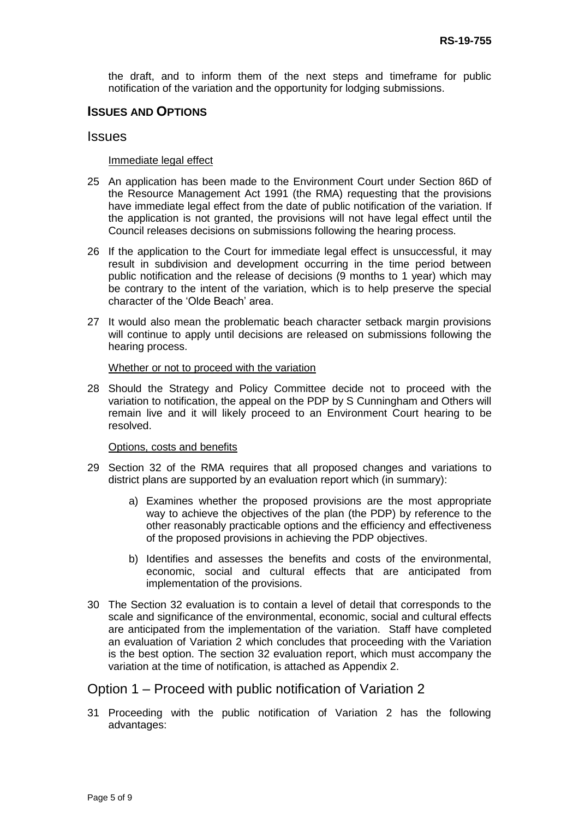the draft, and to inform them of the next steps and timeframe for public notification of the variation and the opportunity for lodging submissions.

# **ISSUES AND OPTIONS**

#### **Issues**

#### Immediate legal effect

- 25 An application has been made to the Environment Court under Section 86D of the Resource Management Act 1991 (the RMA) requesting that the provisions have immediate legal effect from the date of public notification of the variation. If the application is not granted, the provisions will not have legal effect until the Council releases decisions on submissions following the hearing process.
- 26 If the application to the Court for immediate legal effect is unsuccessful, it may result in subdivision and development occurring in the time period between public notification and the release of decisions (9 months to 1 year) which may be contrary to the intent of the variation, which is to help preserve the special character of the 'Olde Beach' area.
- 27 It would also mean the problematic beach character setback margin provisions will continue to apply until decisions are released on submissions following the hearing process.

#### Whether or not to proceed with the variation

28 Should the Strategy and Policy Committee decide not to proceed with the variation to notification, the appeal on the PDP by S Cunningham and Others will remain live and it will likely proceed to an Environment Court hearing to be resolved.

#### Options, costs and benefits

- 29 Section 32 of the RMA requires that all proposed changes and variations to district plans are supported by an evaluation report which (in summary):
	- a) Examines whether the proposed provisions are the most appropriate way to achieve the objectives of the plan (the PDP) by reference to the other reasonably practicable options and the efficiency and effectiveness of the proposed provisions in achieving the PDP objectives.
	- b) Identifies and assesses the benefits and costs of the environmental, economic, social and cultural effects that are anticipated from implementation of the provisions.
- 30 The Section 32 evaluation is to contain a level of detail that corresponds to the scale and significance of the environmental, economic, social and cultural effects are anticipated from the implementation of the variation. Staff have completed an evaluation of Variation 2 which concludes that proceeding with the Variation is the best option. The section 32 evaluation report, which must accompany the variation at the time of notification, is attached as Appendix 2.

# Option 1 – Proceed with public notification of Variation 2

31 Proceeding with the public notification of Variation 2 has the following advantages: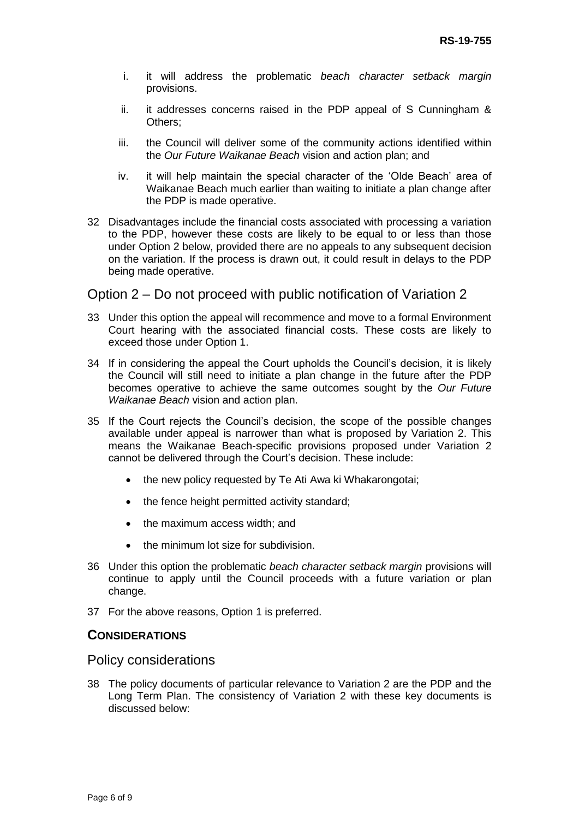- i. it will address the problematic *beach character setback margin* provisions.
- ii. it addresses concerns raised in the PDP appeal of S Cunningham & Others;
- iii. the Council will deliver some of the community actions identified within the *Our Future Waikanae Beach* vision and action plan; and
- iv. it will help maintain the special character of the 'Olde Beach' area of Waikanae Beach much earlier than waiting to initiate a plan change after the PDP is made operative.
- 32 Disadvantages include the financial costs associated with processing a variation to the PDP, however these costs are likely to be equal to or less than those under Option 2 below, provided there are no appeals to any subsequent decision on the variation. If the process is drawn out, it could result in delays to the PDP being made operative.

Option 2 – Do not proceed with public notification of Variation 2

- 33 Under this option the appeal will recommence and move to a formal Environment Court hearing with the associated financial costs. These costs are likely to exceed those under Option 1.
- 34 If in considering the appeal the Court upholds the Council's decision, it is likely the Council will still need to initiate a plan change in the future after the PDP becomes operative to achieve the same outcomes sought by the *Our Future Waikanae Beach* vision and action plan.
- 35 If the Court rejects the Council's decision, the scope of the possible changes available under appeal is narrower than what is proposed by Variation 2. This means the Waikanae Beach-specific provisions proposed under Variation 2 cannot be delivered through the Court's decision. These include:
	- the new policy requested by Te Ati Awa ki Whakarongotai;
	- the fence height permitted activity standard;
	- the maximum access width; and
	- the minimum lot size for subdivision.
- 36 Under this option the problematic *beach character setback margin* provisions will continue to apply until the Council proceeds with a future variation or plan change.
- 37 For the above reasons, Option 1 is preferred.

### **CONSIDERATIONS**

Policy considerations

38 The policy documents of particular relevance to Variation 2 are the PDP and the Long Term Plan. The consistency of Variation 2 with these key documents is discussed below: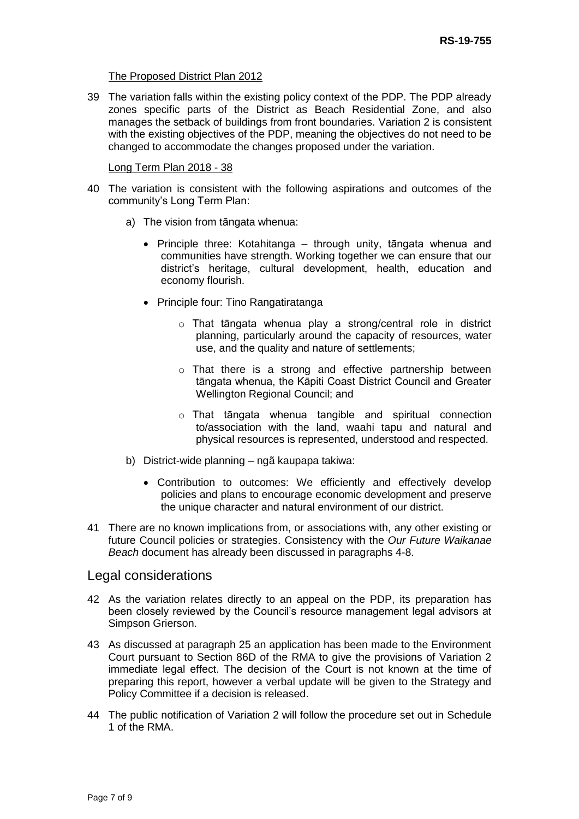#### The Proposed District Plan 2012

39 The variation falls within the existing policy context of the PDP. The PDP already zones specific parts of the District as Beach Residential Zone, and also manages the setback of buildings from front boundaries. Variation 2 is consistent with the existing objectives of the PDP, meaning the objectives do not need to be changed to accommodate the changes proposed under the variation.

#### Long Term Plan 2018 - 38

- 40 The variation is consistent with the following aspirations and outcomes of the community's Long Term Plan:
	- a) The vision from tāngata whenua:
		- Principle three: Kotahitanga through unity, tāngata whenua and communities have strength. Working together we can ensure that our district's heritage, cultural development, health, education and economy flourish.
		- Principle four: Tino Rangatiratanga
			- o That tāngata whenua play a strong/central role in district planning, particularly around the capacity of resources, water use, and the quality and nature of settlements;
			- o That there is a strong and effective partnership between tāngata whenua, the Kāpiti Coast District Council and Greater Wellington Regional Council; and
			- o That tāngata whenua tangible and spiritual connection to/association with the land, waahi tapu and natural and physical resources is represented, understood and respected.
	- b) District-wide planning ngã kaupapa takiwa:
		- Contribution to outcomes: We efficiently and effectively develop policies and plans to encourage economic development and preserve the unique character and natural environment of our district.
- 41 There are no known implications from, or associations with, any other existing or future Council policies or strategies. Consistency with the *Our Future Waikanae Beach* document has already been discussed in paragraphs 4-8.

## Legal considerations

- 42 As the variation relates directly to an appeal on the PDP, its preparation has been closely reviewed by the Council's resource management legal advisors at Simpson Grierson.
- 43 As discussed at paragraph 25 an application has been made to the Environment Court pursuant to Section 86D of the RMA to give the provisions of Variation 2 immediate legal effect. The decision of the Court is not known at the time of preparing this report, however a verbal update will be given to the Strategy and Policy Committee if a decision is released.
- 44 The public notification of Variation 2 will follow the procedure set out in Schedule 1 of the RMA.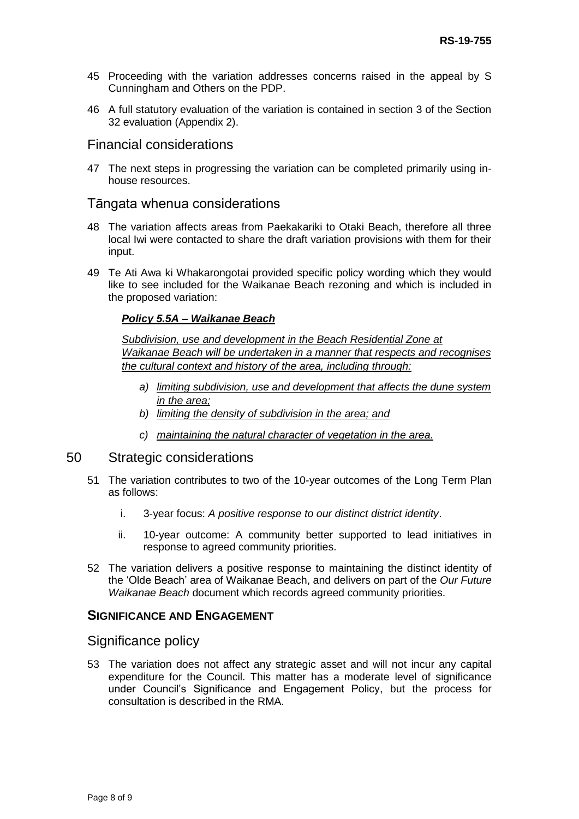- 45 Proceeding with the variation addresses concerns raised in the appeal by S Cunningham and Others on the PDP.
- 46 A full statutory evaluation of the variation is contained in section 3 of the Section 32 evaluation (Appendix 2).

# Financial considerations

47 The next steps in progressing the variation can be completed primarily using inhouse resources.

# Tāngata whenua considerations

- 48 The variation affects areas from Paekakariki to Otaki Beach, therefore all three local Iwi were contacted to share the draft variation provisions with them for their input.
- 49 Te Ati Awa ki Whakarongotai provided specific policy wording which they would like to see included for the Waikanae Beach rezoning and which is included in the proposed variation:

### *Policy 5.5A – Waikanae Beach*

*Subdivision, use and development in the Beach Residential Zone at Waikanae Beach will be undertaken in a manner that respects and recognises the cultural context and history of the area, including through:*

- *a) limiting subdivision, use and development that affects the dune system in the area;*
- *b) limiting the density of subdivision in the area; and*
- *c) maintaining the natural character of vegetation in the area.*

# 50 Strategic considerations

- 51 The variation contributes to two of the 10-year outcomes of the Long Term Plan as follows:
	- i. 3-year focus: *A positive response to our distinct district identity*.
	- ii. 10-year outcome: A community better supported to lead initiatives in response to agreed community priorities.
- 52 The variation delivers a positive response to maintaining the distinct identity of the 'Olde Beach' area of Waikanae Beach, and delivers on part of the *Our Future Waikanae Beach* document which records agreed community priorities.

## **SIGNIFICANCE AND ENGAGEMENT**

## Significance policy

53 The variation does not affect any strategic asset and will not incur any capital expenditure for the Council. This matter has a moderate level of significance under Council's Significance and Engagement Policy, but the process for consultation is described in the RMA.